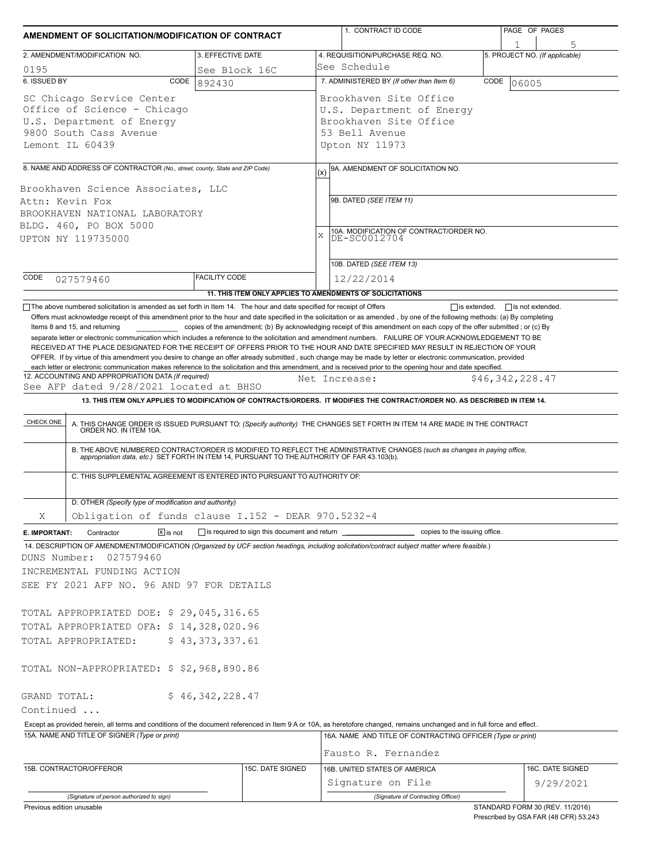| 3. EFFECTIVE DATE<br>4. REQUISITION/PURCHASE REQ. NO.<br>5. PROJECT NO. (If applicable)<br>2. AMENDMENT/MODIFICATION NO.<br>See Schedule<br>0195<br>See Block 16C<br>6. ISSUED BY<br>7. ADMINISTERED BY (If other than Item 6)<br>CODE<br>CODE<br>06005<br>892430<br>Brookhaven Site Office<br>SC Chicago Service Center<br>Office of Science - Chicago<br>U.S. Department of Energy<br>U.S. Department of Energy<br>Brookhaven Site Office<br>9800 South Cass Avenue<br>53 Bell Avenue<br>Lemont IL 60439<br>Upton NY 11973<br>8. NAME AND ADDRESS OF CONTRACTOR (No., street, county, State and ZIP Code)<br>9A. AMENDMENT OF SOLICITATION NO.<br>(x)<br>Brookhaven Science Associates, LLC<br>9B. DATED (SEE ITEM 11)<br>Attn: Kevin Fox<br>BROOKHAVEN NATIONAL LABORATORY<br>BLDG. 460, PO BOX 5000<br>10A. MODIFICATION OF CONTRACT/ORDER NO.<br>DE-SC0012704<br>X<br>UPTON NY 119735000<br>10B. DATED (SEE ITEM 13)<br><b>FACILITY CODE</b><br>CODE<br>12/22/2014<br>027579460<br>11. THIS ITEM ONLY APPLIES TO AMENDMENTS OF SOLICITATIONS<br>The above numbered solicitation is amended as set forth in Item 14. The hour and date specified for receipt of Offers<br>$\Box$ is extended, $\Box$ is not extended.<br>Offers must acknowledge receipt of this amendment prior to the hour and date specified in the solicitation or as amended, by one of the following methods: (a) By completing<br>Items 8 and 15, and returning<br>copies of the amendment; (b) By acknowledging receipt of this amendment on each copy of the offer submitted; or (c) By<br>separate letter or electronic communication which includes a reference to the solicitation and amendment numbers. FAILURE OF YOUR ACKNOWLEDGEMENT TO BE<br>RECEIVED AT THE PLACE DESIGNATED FOR THE RECEIPT OF OFFERS PRIOR TO THE HOUR AND DATE SPECIFIED MAY RESULT IN REJECTION OF YOUR<br>OFFER. If by virtue of this amendment you desire to change an offer already submitted, such change may be made by letter or electronic communication, provided<br>each letter or electronic communication makes reference to the solicitation and this amendment, and is received prior to the opening hour and date specified.<br>12. ACCOUNTING AND APPROPRIATION DATA (If required)<br>\$46,342,228.47<br>Net Increase:<br>See AFP dated 9/28/2021 located at BHSO<br>13. THIS ITEM ONLY APPLIES TO MODIFICATION OF CONTRACTS/ORDERS. IT MODIFIES THE CONTRACT/ORDER NO. AS DESCRIBED IN ITEM 14.<br>CHECK ONE<br>A. THIS CHANGE ORDER IS ISSUED PURSUANT TO: (Specify authority) THE CHANGES SET FORTH IN ITEM 14 ARE MADE IN THE CONTRACT ORDER NO. IN ITEM 10A.<br>B. THE ABOVE NUMBERED CONTRACT/ORDER IS MODIFIED TO REFLECT THE ADMINISTRATIVE CHANGES (such as changes in paying office, appropriation data, etc.) SET FORTH IN ITEM 14, PURSUANT TO THE AUTHORITY OF FAR 43.103(b).<br>C. THIS SUPPLEMENTAL AGREEMENT IS ENTERED INTO PURSUANT TO AUTHORITY OF:<br>D. OTHER (Specify type of modification and authority)<br>Obligation of funds clause I.152 - DEAR 970.5232-4<br>Χ<br>$\boxed{\mathsf{X}}$ is not<br>is required to sign this document and return ___________________________ copies to the issuing office.<br>Contractor<br>E. IMPORTANT:<br>14. DESCRIPTION OF AMENDMENT/MODIFICATION (Organized by UCF section headings, including solicitation/contract subject matter where feasible.)<br>DUNS Number:<br>027579460<br>INCREMENTAL FUNDING ACTION<br>SEE FY 2021 AFP NO. 96 AND 97 FOR DETAILS<br>TOTAL APPROPRIATED DOE: \$ 29,045,316.65<br>TOTAL APPROPRIATED OFA: \$ 14,328,020.96<br>\$43,373,337.61<br>TOTAL APPROPRIATED:<br>TOTAL NON-APPROPRIATED: \$ \$2,968,890.86<br>\$46,342,228.47<br>GRAND TOTAL:<br>Continued<br>Except as provided herein, all terms and conditions of the document referenced in Item 9 A or 10A, as heretofore changed, remains unchanged and in full force and effect.<br>15A. NAME AND TITLE OF SIGNER (Type or print)<br>16A. NAME AND TITLE OF CONTRACTING OFFICER (Type or print)<br>Fausto R. Fernandez<br>15C. DATE SIGNED<br>16B. UNITED STATES OF AMERICA<br>16C. DATE SIGNED<br>15B. CONTRACTOR/OFFEROR<br>Signature on File<br>9/29/2021<br>(Signature of Contracting Officer)<br>(Signature of person authorized to sign) | AMENDMENT OF SOLICITATION/MODIFICATION OF CONTRACT |  |  | 1. CONTRACT ID CODE |  | PAGE OF PAGES |  |  |  |
|---------------------------------------------------------------------------------------------------------------------------------------------------------------------------------------------------------------------------------------------------------------------------------------------------------------------------------------------------------------------------------------------------------------------------------------------------------------------------------------------------------------------------------------------------------------------------------------------------------------------------------------------------------------------------------------------------------------------------------------------------------------------------------------------------------------------------------------------------------------------------------------------------------------------------------------------------------------------------------------------------------------------------------------------------------------------------------------------------------------------------------------------------------------------------------------------------------------------------------------------------------------------------------------------------------------------------------------------------------------------------------------------------------------------------------------------------------------------------------------------------------------------------------------------------------------------------------------------------------------------------------------------------------------------------------------------------------------------------------------------------------------------------------------------------------------------------------------------------------------------------------------------------------------------------------------------------------------------------------------------------------------------------------------------------------------------------------------------------------------------------------------------------------------------------------------------------------------------------------------------------------------------------------------------------------------------------------------------------------------------------------------------------------------------------------------------------------------------------------------------------------------------------------------------------------------------------------------------------------------------------------------------------------------------------------------------------------------------------------------------------------------------------------------------------------------------------------------------------------------------------------------------------------------------------------------------------------------------------------------------------------------------------------------------------------------------------------------------------------------------------------------------------------------------------------------------------------------------------------------------------------------------------------------------------------------------------------------------------------------------------------------------------------------------------------------------------------------------------------------------------------------------------------------------------------------------------------------------------------------------------------------------------------------------------------------------------------------------------------------------------------------------------------------------------------------------------------------------------------------------------------------------------------------------------------------------------------------------------------------------------------------------------------------------------------------------------------------------------------------------------------------------------------------------------------------------------------------------------------------------------------------------------------|----------------------------------------------------|--|--|---------------------|--|---------------|--|--|--|
|                                                                                                                                                                                                                                                                                                                                                                                                                                                                                                                                                                                                                                                                                                                                                                                                                                                                                                                                                                                                                                                                                                                                                                                                                                                                                                                                                                                                                                                                                                                                                                                                                                                                                                                                                                                                                                                                                                                                                                                                                                                                                                                                                                                                                                                                                                                                                                                                                                                                                                                                                                                                                                                                                                                                                                                                                                                                                                                                                                                                                                                                                                                                                                                                                                                                                                                                                                                                                                                                                                                                                                                                                                                                                                                                                                                                                                                                                                                                                                                                                                                                                                                                                                                                                                                                                 |                                                    |  |  |                     |  |               |  |  |  |
|                                                                                                                                                                                                                                                                                                                                                                                                                                                                                                                                                                                                                                                                                                                                                                                                                                                                                                                                                                                                                                                                                                                                                                                                                                                                                                                                                                                                                                                                                                                                                                                                                                                                                                                                                                                                                                                                                                                                                                                                                                                                                                                                                                                                                                                                                                                                                                                                                                                                                                                                                                                                                                                                                                                                                                                                                                                                                                                                                                                                                                                                                                                                                                                                                                                                                                                                                                                                                                                                                                                                                                                                                                                                                                                                                                                                                                                                                                                                                                                                                                                                                                                                                                                                                                                                                 |                                                    |  |  |                     |  |               |  |  |  |
|                                                                                                                                                                                                                                                                                                                                                                                                                                                                                                                                                                                                                                                                                                                                                                                                                                                                                                                                                                                                                                                                                                                                                                                                                                                                                                                                                                                                                                                                                                                                                                                                                                                                                                                                                                                                                                                                                                                                                                                                                                                                                                                                                                                                                                                                                                                                                                                                                                                                                                                                                                                                                                                                                                                                                                                                                                                                                                                                                                                                                                                                                                                                                                                                                                                                                                                                                                                                                                                                                                                                                                                                                                                                                                                                                                                                                                                                                                                                                                                                                                                                                                                                                                                                                                                                                 |                                                    |  |  |                     |  |               |  |  |  |
|                                                                                                                                                                                                                                                                                                                                                                                                                                                                                                                                                                                                                                                                                                                                                                                                                                                                                                                                                                                                                                                                                                                                                                                                                                                                                                                                                                                                                                                                                                                                                                                                                                                                                                                                                                                                                                                                                                                                                                                                                                                                                                                                                                                                                                                                                                                                                                                                                                                                                                                                                                                                                                                                                                                                                                                                                                                                                                                                                                                                                                                                                                                                                                                                                                                                                                                                                                                                                                                                                                                                                                                                                                                                                                                                                                                                                                                                                                                                                                                                                                                                                                                                                                                                                                                                                 |                                                    |  |  |                     |  |               |  |  |  |
|                                                                                                                                                                                                                                                                                                                                                                                                                                                                                                                                                                                                                                                                                                                                                                                                                                                                                                                                                                                                                                                                                                                                                                                                                                                                                                                                                                                                                                                                                                                                                                                                                                                                                                                                                                                                                                                                                                                                                                                                                                                                                                                                                                                                                                                                                                                                                                                                                                                                                                                                                                                                                                                                                                                                                                                                                                                                                                                                                                                                                                                                                                                                                                                                                                                                                                                                                                                                                                                                                                                                                                                                                                                                                                                                                                                                                                                                                                                                                                                                                                                                                                                                                                                                                                                                                 |                                                    |  |  |                     |  |               |  |  |  |
|                                                                                                                                                                                                                                                                                                                                                                                                                                                                                                                                                                                                                                                                                                                                                                                                                                                                                                                                                                                                                                                                                                                                                                                                                                                                                                                                                                                                                                                                                                                                                                                                                                                                                                                                                                                                                                                                                                                                                                                                                                                                                                                                                                                                                                                                                                                                                                                                                                                                                                                                                                                                                                                                                                                                                                                                                                                                                                                                                                                                                                                                                                                                                                                                                                                                                                                                                                                                                                                                                                                                                                                                                                                                                                                                                                                                                                                                                                                                                                                                                                                                                                                                                                                                                                                                                 |                                                    |  |  |                     |  |               |  |  |  |
|                                                                                                                                                                                                                                                                                                                                                                                                                                                                                                                                                                                                                                                                                                                                                                                                                                                                                                                                                                                                                                                                                                                                                                                                                                                                                                                                                                                                                                                                                                                                                                                                                                                                                                                                                                                                                                                                                                                                                                                                                                                                                                                                                                                                                                                                                                                                                                                                                                                                                                                                                                                                                                                                                                                                                                                                                                                                                                                                                                                                                                                                                                                                                                                                                                                                                                                                                                                                                                                                                                                                                                                                                                                                                                                                                                                                                                                                                                                                                                                                                                                                                                                                                                                                                                                                                 |                                                    |  |  |                     |  |               |  |  |  |
|                                                                                                                                                                                                                                                                                                                                                                                                                                                                                                                                                                                                                                                                                                                                                                                                                                                                                                                                                                                                                                                                                                                                                                                                                                                                                                                                                                                                                                                                                                                                                                                                                                                                                                                                                                                                                                                                                                                                                                                                                                                                                                                                                                                                                                                                                                                                                                                                                                                                                                                                                                                                                                                                                                                                                                                                                                                                                                                                                                                                                                                                                                                                                                                                                                                                                                                                                                                                                                                                                                                                                                                                                                                                                                                                                                                                                                                                                                                                                                                                                                                                                                                                                                                                                                                                                 |                                                    |  |  |                     |  |               |  |  |  |
|                                                                                                                                                                                                                                                                                                                                                                                                                                                                                                                                                                                                                                                                                                                                                                                                                                                                                                                                                                                                                                                                                                                                                                                                                                                                                                                                                                                                                                                                                                                                                                                                                                                                                                                                                                                                                                                                                                                                                                                                                                                                                                                                                                                                                                                                                                                                                                                                                                                                                                                                                                                                                                                                                                                                                                                                                                                                                                                                                                                                                                                                                                                                                                                                                                                                                                                                                                                                                                                                                                                                                                                                                                                                                                                                                                                                                                                                                                                                                                                                                                                                                                                                                                                                                                                                                 |                                                    |  |  |                     |  |               |  |  |  |
|                                                                                                                                                                                                                                                                                                                                                                                                                                                                                                                                                                                                                                                                                                                                                                                                                                                                                                                                                                                                                                                                                                                                                                                                                                                                                                                                                                                                                                                                                                                                                                                                                                                                                                                                                                                                                                                                                                                                                                                                                                                                                                                                                                                                                                                                                                                                                                                                                                                                                                                                                                                                                                                                                                                                                                                                                                                                                                                                                                                                                                                                                                                                                                                                                                                                                                                                                                                                                                                                                                                                                                                                                                                                                                                                                                                                                                                                                                                                                                                                                                                                                                                                                                                                                                                                                 |                                                    |  |  |                     |  |               |  |  |  |
|                                                                                                                                                                                                                                                                                                                                                                                                                                                                                                                                                                                                                                                                                                                                                                                                                                                                                                                                                                                                                                                                                                                                                                                                                                                                                                                                                                                                                                                                                                                                                                                                                                                                                                                                                                                                                                                                                                                                                                                                                                                                                                                                                                                                                                                                                                                                                                                                                                                                                                                                                                                                                                                                                                                                                                                                                                                                                                                                                                                                                                                                                                                                                                                                                                                                                                                                                                                                                                                                                                                                                                                                                                                                                                                                                                                                                                                                                                                                                                                                                                                                                                                                                                                                                                                                                 |                                                    |  |  |                     |  |               |  |  |  |
|                                                                                                                                                                                                                                                                                                                                                                                                                                                                                                                                                                                                                                                                                                                                                                                                                                                                                                                                                                                                                                                                                                                                                                                                                                                                                                                                                                                                                                                                                                                                                                                                                                                                                                                                                                                                                                                                                                                                                                                                                                                                                                                                                                                                                                                                                                                                                                                                                                                                                                                                                                                                                                                                                                                                                                                                                                                                                                                                                                                                                                                                                                                                                                                                                                                                                                                                                                                                                                                                                                                                                                                                                                                                                                                                                                                                                                                                                                                                                                                                                                                                                                                                                                                                                                                                                 |                                                    |  |  |                     |  |               |  |  |  |
|                                                                                                                                                                                                                                                                                                                                                                                                                                                                                                                                                                                                                                                                                                                                                                                                                                                                                                                                                                                                                                                                                                                                                                                                                                                                                                                                                                                                                                                                                                                                                                                                                                                                                                                                                                                                                                                                                                                                                                                                                                                                                                                                                                                                                                                                                                                                                                                                                                                                                                                                                                                                                                                                                                                                                                                                                                                                                                                                                                                                                                                                                                                                                                                                                                                                                                                                                                                                                                                                                                                                                                                                                                                                                                                                                                                                                                                                                                                                                                                                                                                                                                                                                                                                                                                                                 |                                                    |  |  |                     |  |               |  |  |  |
|                                                                                                                                                                                                                                                                                                                                                                                                                                                                                                                                                                                                                                                                                                                                                                                                                                                                                                                                                                                                                                                                                                                                                                                                                                                                                                                                                                                                                                                                                                                                                                                                                                                                                                                                                                                                                                                                                                                                                                                                                                                                                                                                                                                                                                                                                                                                                                                                                                                                                                                                                                                                                                                                                                                                                                                                                                                                                                                                                                                                                                                                                                                                                                                                                                                                                                                                                                                                                                                                                                                                                                                                                                                                                                                                                                                                                                                                                                                                                                                                                                                                                                                                                                                                                                                                                 |                                                    |  |  |                     |  |               |  |  |  |
|                                                                                                                                                                                                                                                                                                                                                                                                                                                                                                                                                                                                                                                                                                                                                                                                                                                                                                                                                                                                                                                                                                                                                                                                                                                                                                                                                                                                                                                                                                                                                                                                                                                                                                                                                                                                                                                                                                                                                                                                                                                                                                                                                                                                                                                                                                                                                                                                                                                                                                                                                                                                                                                                                                                                                                                                                                                                                                                                                                                                                                                                                                                                                                                                                                                                                                                                                                                                                                                                                                                                                                                                                                                                                                                                                                                                                                                                                                                                                                                                                                                                                                                                                                                                                                                                                 |                                                    |  |  |                     |  |               |  |  |  |
|                                                                                                                                                                                                                                                                                                                                                                                                                                                                                                                                                                                                                                                                                                                                                                                                                                                                                                                                                                                                                                                                                                                                                                                                                                                                                                                                                                                                                                                                                                                                                                                                                                                                                                                                                                                                                                                                                                                                                                                                                                                                                                                                                                                                                                                                                                                                                                                                                                                                                                                                                                                                                                                                                                                                                                                                                                                                                                                                                                                                                                                                                                                                                                                                                                                                                                                                                                                                                                                                                                                                                                                                                                                                                                                                                                                                                                                                                                                                                                                                                                                                                                                                                                                                                                                                                 |                                                    |  |  |                     |  |               |  |  |  |
|                                                                                                                                                                                                                                                                                                                                                                                                                                                                                                                                                                                                                                                                                                                                                                                                                                                                                                                                                                                                                                                                                                                                                                                                                                                                                                                                                                                                                                                                                                                                                                                                                                                                                                                                                                                                                                                                                                                                                                                                                                                                                                                                                                                                                                                                                                                                                                                                                                                                                                                                                                                                                                                                                                                                                                                                                                                                                                                                                                                                                                                                                                                                                                                                                                                                                                                                                                                                                                                                                                                                                                                                                                                                                                                                                                                                                                                                                                                                                                                                                                                                                                                                                                                                                                                                                 |                                                    |  |  |                     |  |               |  |  |  |
|                                                                                                                                                                                                                                                                                                                                                                                                                                                                                                                                                                                                                                                                                                                                                                                                                                                                                                                                                                                                                                                                                                                                                                                                                                                                                                                                                                                                                                                                                                                                                                                                                                                                                                                                                                                                                                                                                                                                                                                                                                                                                                                                                                                                                                                                                                                                                                                                                                                                                                                                                                                                                                                                                                                                                                                                                                                                                                                                                                                                                                                                                                                                                                                                                                                                                                                                                                                                                                                                                                                                                                                                                                                                                                                                                                                                                                                                                                                                                                                                                                                                                                                                                                                                                                                                                 |                                                    |  |  |                     |  |               |  |  |  |
|                                                                                                                                                                                                                                                                                                                                                                                                                                                                                                                                                                                                                                                                                                                                                                                                                                                                                                                                                                                                                                                                                                                                                                                                                                                                                                                                                                                                                                                                                                                                                                                                                                                                                                                                                                                                                                                                                                                                                                                                                                                                                                                                                                                                                                                                                                                                                                                                                                                                                                                                                                                                                                                                                                                                                                                                                                                                                                                                                                                                                                                                                                                                                                                                                                                                                                                                                                                                                                                                                                                                                                                                                                                                                                                                                                                                                                                                                                                                                                                                                                                                                                                                                                                                                                                                                 |                                                    |  |  |                     |  |               |  |  |  |
|                                                                                                                                                                                                                                                                                                                                                                                                                                                                                                                                                                                                                                                                                                                                                                                                                                                                                                                                                                                                                                                                                                                                                                                                                                                                                                                                                                                                                                                                                                                                                                                                                                                                                                                                                                                                                                                                                                                                                                                                                                                                                                                                                                                                                                                                                                                                                                                                                                                                                                                                                                                                                                                                                                                                                                                                                                                                                                                                                                                                                                                                                                                                                                                                                                                                                                                                                                                                                                                                                                                                                                                                                                                                                                                                                                                                                                                                                                                                                                                                                                                                                                                                                                                                                                                                                 |                                                    |  |  |                     |  |               |  |  |  |

Prescribed by GSA FAR (48 CFR) 53.243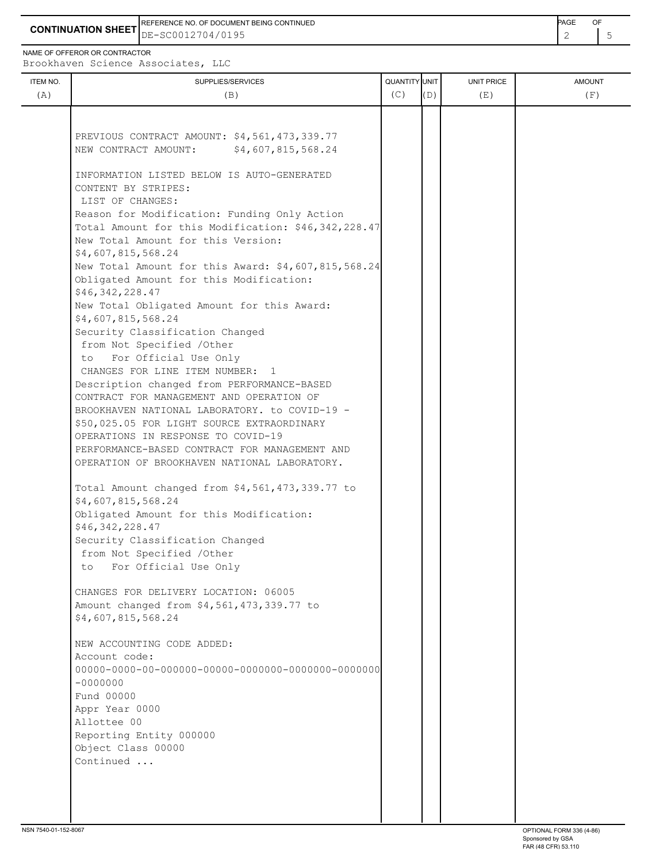**CONTINUATION SHEET** DE-SC0012704/0195 REFERENCE NO. OF DOCUMENT BEING CONTINUED **Example 2008** PAGE OF

NAME OF OFFEROR OR CONTRACTOR

Brookhaven Science Associates, LLC

| ITEM NO.<br>(A) | SUPPLIES/SERVICES<br>(B)                                                                                                                  | QUANTITY UNIT<br>(C) | (D) | <b>UNIT PRICE</b><br>(E) | <b>AMOUNT</b><br>(F) |
|-----------------|-------------------------------------------------------------------------------------------------------------------------------------------|----------------------|-----|--------------------------|----------------------|
|                 |                                                                                                                                           |                      |     |                          |                      |
|                 | PREVIOUS CONTRACT AMOUNT: \$4,561,473,339.77<br>\$4,607,815,568.24<br>NEW CONTRACT AMOUNT:                                                |                      |     |                          |                      |
|                 | INFORMATION LISTED BELOW IS AUTO-GENERATED<br>CONTENT BY STRIPES:<br>LIST OF CHANGES:                                                     |                      |     |                          |                      |
|                 | Reason for Modification: Funding Only Action<br>Total Amount for this Modification: \$46,342,228.47<br>New Total Amount for this Version: |                      |     |                          |                      |
|                 | \$4,607,815,568.24<br>New Total Amount for this Award: \$4,607,815,568.24                                                                 |                      |     |                          |                      |
|                 | Obligated Amount for this Modification:<br>\$46,342,228.47                                                                                |                      |     |                          |                      |
|                 | New Total Obligated Amount for this Award:<br>\$4,607,815,568.24                                                                          |                      |     |                          |                      |
|                 | Security Classification Changed<br>from Not Specified /Other                                                                              |                      |     |                          |                      |
|                 | to For Official Use Only<br>CHANGES FOR LINE ITEM NUMBER: 1                                                                               |                      |     |                          |                      |
|                 | Description changed from PERFORMANCE-BASED<br>CONTRACT FOR MANAGEMENT AND OPERATION OF                                                    |                      |     |                          |                      |
|                 | BROOKHAVEN NATIONAL LABORATORY. to COVID-19 -<br>\$50,025.05 FOR LIGHT SOURCE EXTRAORDINARY                                               |                      |     |                          |                      |
|                 | OPERATIONS IN RESPONSE TO COVID-19<br>PERFORMANCE-BASED CONTRACT FOR MANAGEMENT AND                                                       |                      |     |                          |                      |
|                 | OPERATION OF BROOKHAVEN NATIONAL LABORATORY.                                                                                              |                      |     |                          |                      |
|                 | Total Amount changed from \$4,561,473,339.77 to<br>\$4,607,815,568.24                                                                     |                      |     |                          |                      |
|                 | Obligated Amount for this Modification:<br>\$46,342,228.47                                                                                |                      |     |                          |                      |
|                 | Security Classification Changed<br>from Not Specified /Other                                                                              |                      |     |                          |                      |
|                 | to For Official Use Only                                                                                                                  |                      |     |                          |                      |
|                 | CHANGES FOR DELIVERY LOCATION: 06005                                                                                                      |                      |     |                          |                      |
|                 | Amount changed from \$4,561,473,339.77 to<br>\$4,607,815,568.24                                                                           |                      |     |                          |                      |
|                 | NEW ACCOUNTING CODE ADDED:<br>Account code:                                                                                               |                      |     |                          |                      |
|                 | $-0000000$                                                                                                                                |                      |     |                          |                      |
|                 | Fund 00000                                                                                                                                |                      |     |                          |                      |
|                 | Appr Year 0000<br>Allottee 00                                                                                                             |                      |     |                          |                      |
|                 | Reporting Entity 000000<br>Object Class 00000                                                                                             |                      |     |                          |                      |
|                 | Continued                                                                                                                                 |                      |     |                          |                      |
|                 |                                                                                                                                           |                      |     |                          |                      |
|                 |                                                                                                                                           |                      |     |                          |                      |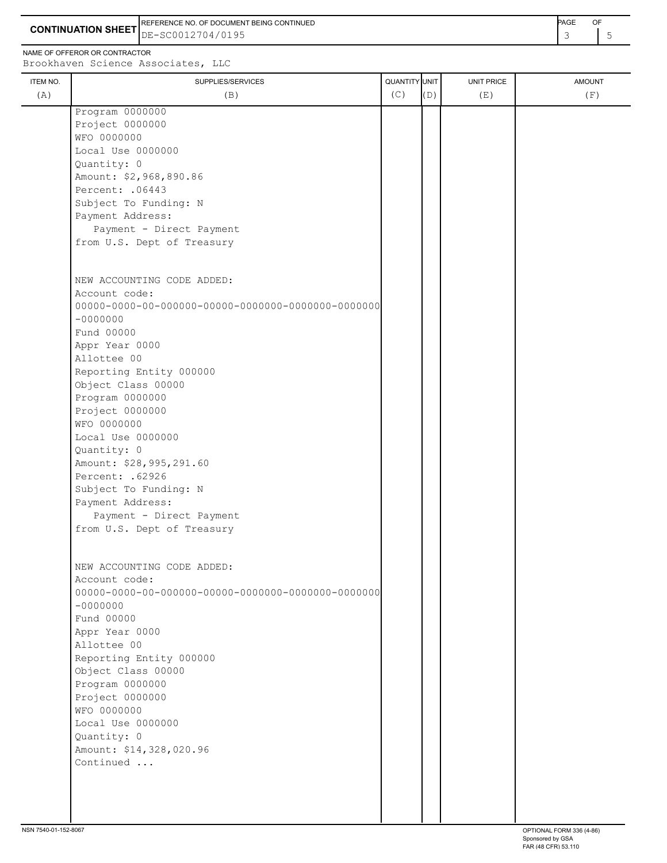**CONTINUATION SHEET** DE-SC0012704/0195 REFERENCE NO. OF DOCUMENT BEING CONTINUED<br>DE-SC0012704/0195 3 5

NAME OF OFFEROR Brookhaven

|          | \ME OF OFFEROR OR CONTRACTOR<br>rookhaven Science Associates, LLC |                      |            |            |               |
|----------|-------------------------------------------------------------------|----------------------|------------|------------|---------------|
| ITEM NO. | SUPPLIES/SERVICES                                                 | <b>QUANTITY UNIT</b> |            | UNIT PRICE | <b>AMOUNT</b> |
| (A)      | (B                                                                | C.                   | $\sqrt{2}$ | (Ε         |               |

| (A) | (B)                                                    | (C) | (D) | (E) | (F) |
|-----|--------------------------------------------------------|-----|-----|-----|-----|
|     | Program 0000000                                        |     |     |     |     |
|     | Project 0000000                                        |     |     |     |     |
|     | WFO 0000000                                            |     |     |     |     |
|     | Local Use 0000000                                      |     |     |     |     |
|     | Quantity: 0                                            |     |     |     |     |
|     | Amount: \$2,968,890.86                                 |     |     |     |     |
|     | Percent: . 06443                                       |     |     |     |     |
|     | Subject To Funding: N                                  |     |     |     |     |
|     | Payment Address:                                       |     |     |     |     |
|     | Payment - Direct Payment<br>from U.S. Dept of Treasury |     |     |     |     |
|     |                                                        |     |     |     |     |
|     | NEW ACCOUNTING CODE ADDED:                             |     |     |     |     |
|     | Account code:                                          |     |     |     |     |
|     |                                                        |     |     |     |     |
|     | $-00000000$                                            |     |     |     |     |
|     | Fund 00000                                             |     |     |     |     |
|     | Appr Year 0000                                         |     |     |     |     |
|     | Allottee 00                                            |     |     |     |     |
|     | Reporting Entity 000000                                |     |     |     |     |
|     | Object Class 00000                                     |     |     |     |     |
|     | Program 0000000                                        |     |     |     |     |
|     | Project 0000000                                        |     |     |     |     |
|     | WFO 0000000                                            |     |     |     |     |
|     | Local Use 0000000                                      |     |     |     |     |
|     | Quantity: 0                                            |     |     |     |     |
|     | Amount: \$28,995,291.60                                |     |     |     |     |
|     | Percent: . 62926                                       |     |     |     |     |
|     | Subject To Funding: N                                  |     |     |     |     |
|     | Payment Address:                                       |     |     |     |     |
|     | Payment - Direct Payment<br>from U.S. Dept of Treasury |     |     |     |     |
|     |                                                        |     |     |     |     |
|     | NEW ACCOUNTING CODE ADDED:                             |     |     |     |     |
|     | Account code:                                          |     |     |     |     |
|     |                                                        |     |     |     |     |
|     | $-0000000$                                             |     |     |     |     |
|     | Fund 00000                                             |     |     |     |     |
|     | Appr Year 0000                                         |     |     |     |     |
|     | Allottee 00                                            |     |     |     |     |
|     | Reporting Entity 000000                                |     |     |     |     |
|     | Object Class 00000                                     |     |     |     |     |
|     | Program 0000000                                        |     |     |     |     |
|     | Project 0000000                                        |     |     |     |     |
|     | WFO 0000000                                            |     |     |     |     |
|     | Local Use 0000000<br>Quantity: 0                       |     |     |     |     |
|     | Amount: \$14,328,020.96                                |     |     |     |     |
|     | Continued                                              |     |     |     |     |
|     |                                                        |     |     |     |     |
|     |                                                        |     |     |     |     |
|     |                                                        |     |     |     |     |
|     |                                                        |     |     |     |     |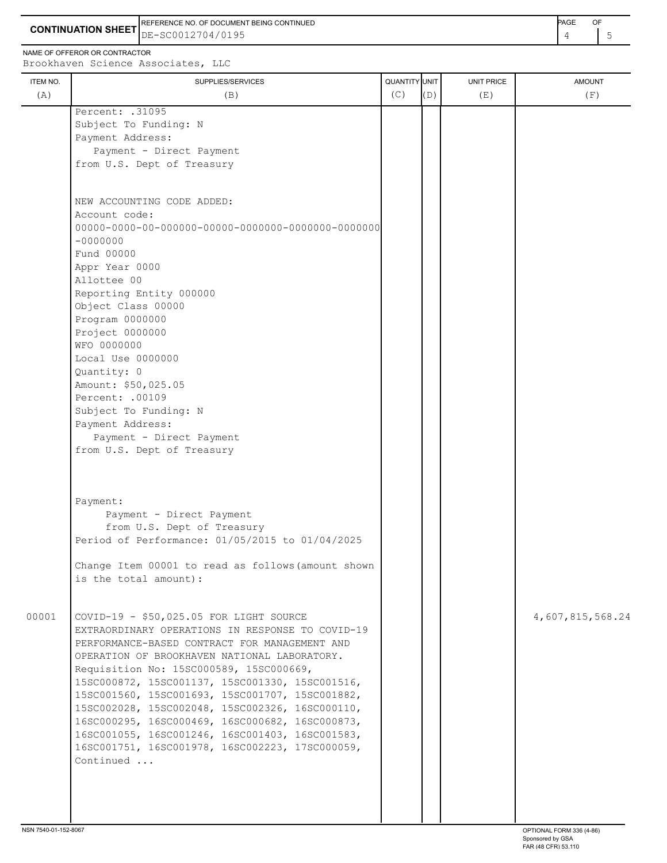**CONTINUATION SHEET** DE-SC0012704/0195 REFERENCE NO. OF DOCUMENT BEING CONTINUED **A CONTINUED PAGE OF PAGE OF PAGE OF PAGE** 

NAME OF OFFEROR OR CONTRACTOR

ITEM NO. ┃ SUPPLIES/SERVICES UNIT PRICE AMOUNT Brookhaven Science Associates, LLC (A)  $(B)$  (B)  $(C)$   $(D)$  (E)  $(E)$  (F) Percent: .31095 Subject To Funding: N Payment Address: Payment - Direct Payment from U.S. Dept of Treasury NEW ACCOUNTING CODE ADDED: Account code: 00000-0000-00-000000-00000-0000000-0000000-0000000 -0000000 Fund 00000 Appr Year 0000 Allottee 00 Reporting Entity 000000 Object Class 00000 Program 0000000 Project 0000000 WFO 0000000 Local Use 0000000 Quantity: 0 Amount: \$50,025.05 Percent: .00109 Subject To Funding: N Payment Address: Payment - Direct Payment from U.S. Dept of Treasury Payment: Payment - Direct Payment from U.S. Dept of Treasury Period of Performance: 01/05/2015 to 01/04/2025 Change Item 00001 to read as follows(amount shown is the total amount): 00001 COVID-19 - \$50,025.05 FOR LIGHT SOURCE | | | | | | | 4,607,815,568.24 EXTRAORDINARY OPERATIONS IN RESPONSE TO COVID-19 PERFORMANCE-BASED CONTRACT FOR MANAGEMENT AND OPERATION OF BROOKHAVEN NATIONAL LABORATORY. Requisition No: 15SC000589, 15SC000669, 15SC000872, 15SC001137, 15SC001330, 15SC001516, 15SC001560, 15SC001693, 15SC001707, 15SC001882, 15SC002028, 15SC002048, 15SC002326, 16SC000110, 16SC000295, 16SC000469, 16SC000682, 16SC000873, 16SC001055, 16SC001246, 16SC001403, 16SC001583, 16SC001751, 16SC001978, 16SC002223, 17SC000059, Continued ...